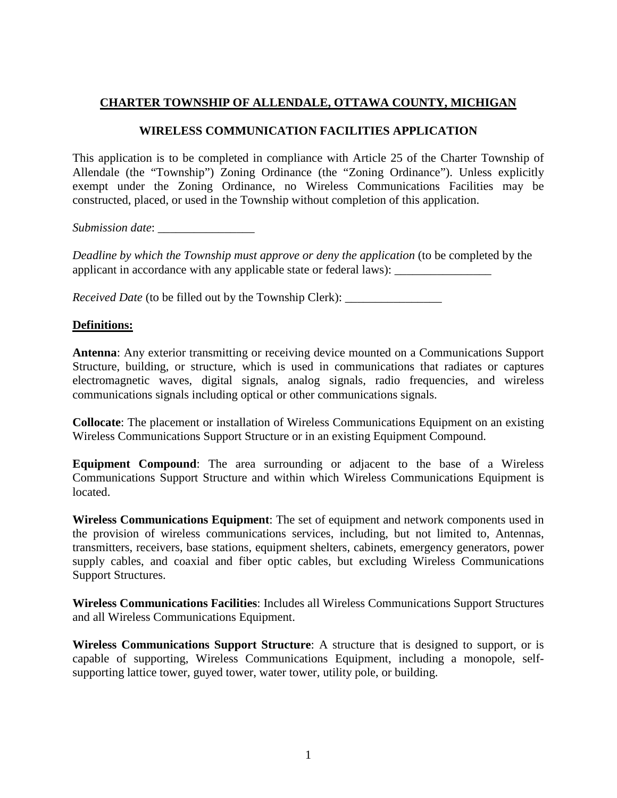## **CHARTER TOWNSHIP OF ALLENDALE, OTTAWA COUNTY, MICHIGAN**

### **WIRELESS COMMUNICATION FACILITIES APPLICATION**

This application is to be completed in compliance with Article 25 of the Charter Township of Allendale (the "Township") Zoning Ordinance (the "Zoning Ordinance"). Unless explicitly exempt under the Zoning Ordinance, no Wireless Communications Facilities may be constructed, placed, or used in the Township without completion of this application.

*Submission date*: \_\_\_\_\_\_\_\_\_\_\_\_\_\_\_\_

*Deadline by which the Township must approve or deny the application* (to be completed by the applicant in accordance with any applicable state or federal laws): \_\_\_\_\_\_\_\_\_\_\_\_\_

*Received Date* (to be filled out by the Township Clerk): \_\_\_\_\_\_\_\_\_\_\_\_\_\_\_\_\_\_\_\_\_\_\_\_

#### **Definitions:**

**Antenna**: Any exterior transmitting or receiving device mounted on a Communications Support Structure, building, or structure, which is used in communications that radiates or captures electromagnetic waves, digital signals, analog signals, radio frequencies, and wireless communications signals including optical or other communications signals.

**Collocate**: The placement or installation of Wireless Communications Equipment on an existing Wireless Communications Support Structure or in an existing Equipment Compound.

**Equipment Compound**: The area surrounding or adjacent to the base of a Wireless Communications Support Structure and within which Wireless Communications Equipment is located.

**Wireless Communications Equipment**: The set of equipment and network components used in the provision of wireless communications services, including, but not limited to, Antennas, transmitters, receivers, base stations, equipment shelters, cabinets, emergency generators, power supply cables, and coaxial and fiber optic cables, but excluding Wireless Communications Support Structures.

**Wireless Communications Facilities**: Includes all Wireless Communications Support Structures and all Wireless Communications Equipment.

**Wireless Communications Support Structure**: A structure that is designed to support, or is capable of supporting, Wireless Communications Equipment, including a monopole, selfsupporting lattice tower, guyed tower, water tower, utility pole, or building.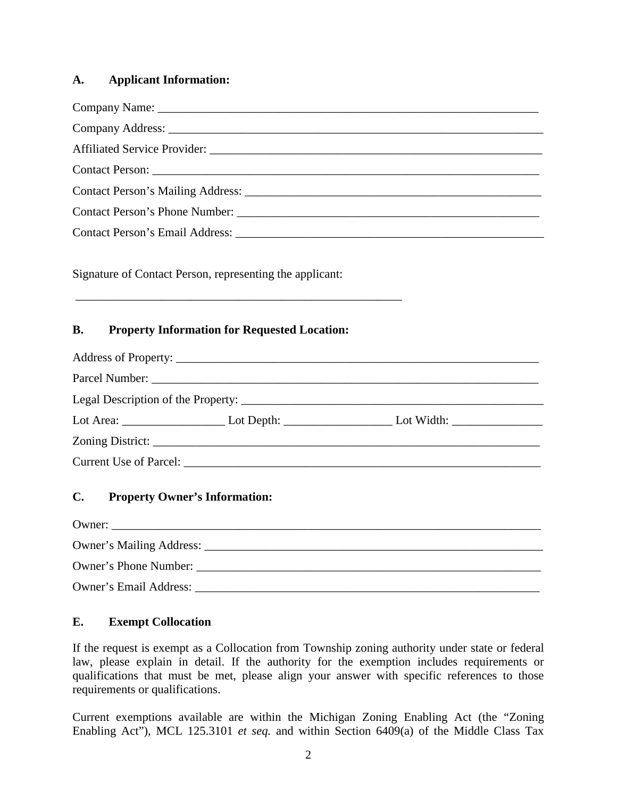#### **A. Applicant Information:**

| Signature of Contact Person, representing the applicant: |                                      |                                                                                                            |           |                                                     |  |
|----------------------------------------------------------|--------------------------------------|------------------------------------------------------------------------------------------------------------|-----------|-----------------------------------------------------|--|
|                                                          |                                      |                                                                                                            | <b>B.</b> | <b>Property Information for Requested Location:</b> |  |
|                                                          |                                      |                                                                                                            |           |                                                     |  |
|                                                          |                                      |                                                                                                            |           |                                                     |  |
|                                                          |                                      | Lot Area: ___________________________Lot Depth: ___________________________Lot Width: ____________________ |           |                                                     |  |
|                                                          |                                      |                                                                                                            |           |                                                     |  |
|                                                          |                                      |                                                                                                            |           |                                                     |  |
| C.                                                       | <b>Property Owner's Information:</b> |                                                                                                            |           |                                                     |  |
|                                                          | Owner:                               |                                                                                                            |           |                                                     |  |
|                                                          |                                      |                                                                                                            |           |                                                     |  |
|                                                          |                                      |                                                                                                            |           |                                                     |  |
|                                                          |                                      |                                                                                                            |           |                                                     |  |

# **E. Exempt Collocation**

If the request is exempt as a Collocation from Township zoning authority under state or federal law, please explain in detail. If the authority for the exemption includes requirements or qualifications that must be met, please align your answer with specific references to those requirements or qualifications.

Current exemptions available are within the Michigan Zoning Enabling Act (the "Zoning Enabling Act"), MCL 125.3101 *et seq.* and within Section 6409(a) of the Middle Class Tax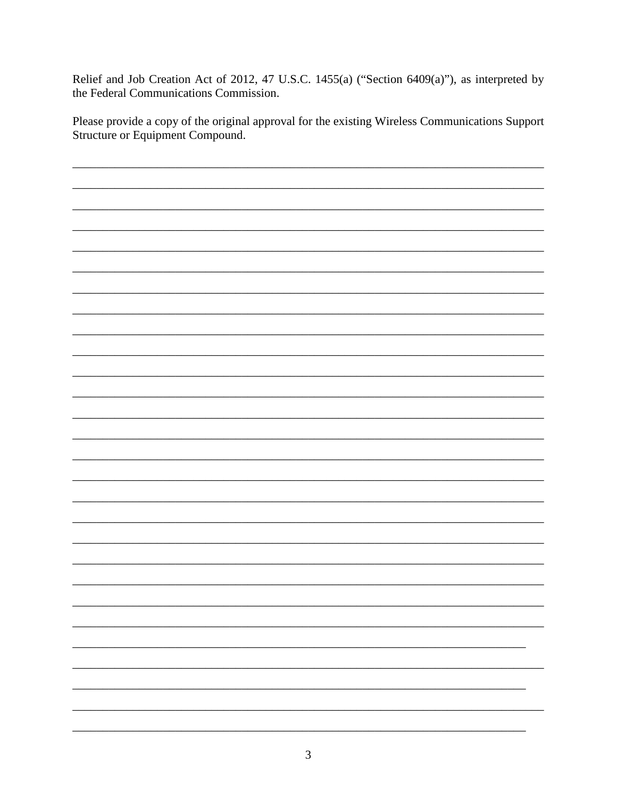Relief and Job Creation Act of 2012, 47 U.S.C. 1455(a) ("Section 6409(a)"), as interpreted by the Federal Communications Commission.

Please provide a copy of the original approval for the existing Wireless Communications Support Structure or Equipment Compound.

 $\overline{\phantom{0}}$  $\overline{\phantom{0}}$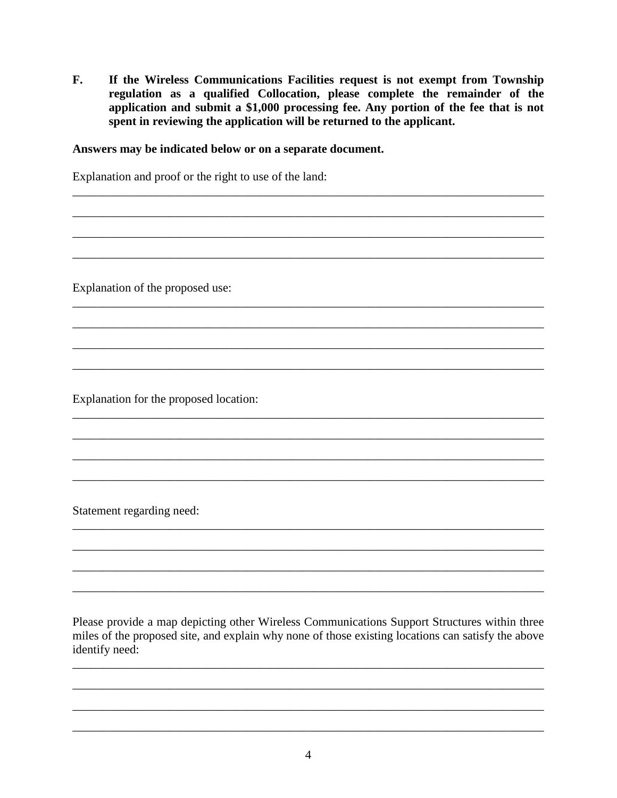$\mathbf{F}$ . If the Wireless Communications Facilities request is not exempt from Township regulation as a qualified Collocation, please complete the remainder of the application and submit a \$1,000 processing fee. Any portion of the fee that is not spent in reviewing the application will be returned to the applicant.

#### Answers may be indicated below or on a separate document.

Explanation and proof or the right to use of the land:

Explanation of the proposed use:

Explanation for the proposed location:

Statement regarding need:

Please provide a map depicting other Wireless Communications Support Structures within three miles of the proposed site, and explain why none of those existing locations can satisfy the above identify need: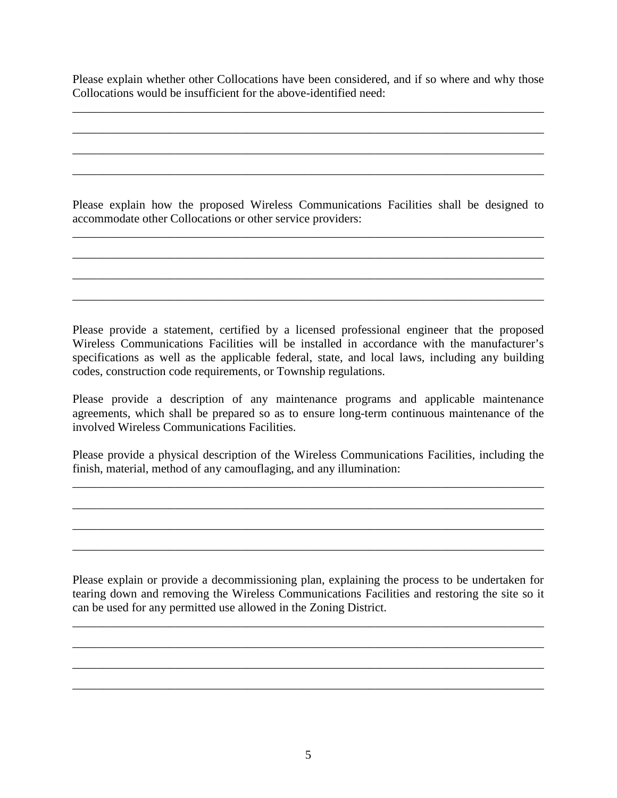Please explain whether other Collocations have been considered, and if so where and why those Collocations would be insufficient for the above-identified need:

\_\_\_\_\_\_\_\_\_\_\_\_\_\_\_\_\_\_\_\_\_\_\_\_\_\_\_\_\_\_\_\_\_\_\_\_\_\_\_\_\_\_\_\_\_\_\_\_\_\_\_\_\_\_\_\_\_\_\_\_\_\_\_\_\_\_\_\_\_\_\_\_\_\_\_\_\_\_

\_\_\_\_\_\_\_\_\_\_\_\_\_\_\_\_\_\_\_\_\_\_\_\_\_\_\_\_\_\_\_\_\_\_\_\_\_\_\_\_\_\_\_\_\_\_\_\_\_\_\_\_\_\_\_\_\_\_\_\_\_\_\_\_\_\_\_\_\_\_\_\_\_\_\_\_\_\_

\_\_\_\_\_\_\_\_\_\_\_\_\_\_\_\_\_\_\_\_\_\_\_\_\_\_\_\_\_\_\_\_\_\_\_\_\_\_\_\_\_\_\_\_\_\_\_\_\_\_\_\_\_\_\_\_\_\_\_\_\_\_\_\_\_\_\_\_\_\_\_\_\_\_\_\_\_\_

\_\_\_\_\_\_\_\_\_\_\_\_\_\_\_\_\_\_\_\_\_\_\_\_\_\_\_\_\_\_\_\_\_\_\_\_\_\_\_\_\_\_\_\_\_\_\_\_\_\_\_\_\_\_\_\_\_\_\_\_\_\_\_\_\_\_\_\_\_\_\_\_\_\_\_\_\_\_

Please explain how the proposed Wireless Communications Facilities shall be designed to accommodate other Collocations or other service providers:

\_\_\_\_\_\_\_\_\_\_\_\_\_\_\_\_\_\_\_\_\_\_\_\_\_\_\_\_\_\_\_\_\_\_\_\_\_\_\_\_\_\_\_\_\_\_\_\_\_\_\_\_\_\_\_\_\_\_\_\_\_\_\_\_\_\_\_\_\_\_\_\_\_\_\_\_\_\_

\_\_\_\_\_\_\_\_\_\_\_\_\_\_\_\_\_\_\_\_\_\_\_\_\_\_\_\_\_\_\_\_\_\_\_\_\_\_\_\_\_\_\_\_\_\_\_\_\_\_\_\_\_\_\_\_\_\_\_\_\_\_\_\_\_\_\_\_\_\_\_\_\_\_\_\_\_\_

\_\_\_\_\_\_\_\_\_\_\_\_\_\_\_\_\_\_\_\_\_\_\_\_\_\_\_\_\_\_\_\_\_\_\_\_\_\_\_\_\_\_\_\_\_\_\_\_\_\_\_\_\_\_\_\_\_\_\_\_\_\_\_\_\_\_\_\_\_\_\_\_\_\_\_\_\_\_

\_\_\_\_\_\_\_\_\_\_\_\_\_\_\_\_\_\_\_\_\_\_\_\_\_\_\_\_\_\_\_\_\_\_\_\_\_\_\_\_\_\_\_\_\_\_\_\_\_\_\_\_\_\_\_\_\_\_\_\_\_\_\_\_\_\_\_\_\_\_\_\_\_\_\_\_\_\_

Please provide a statement, certified by a licensed professional engineer that the proposed Wireless Communications Facilities will be installed in accordance with the manufacturer's specifications as well as the applicable federal, state, and local laws, including any building codes, construction code requirements, or Township regulations.

Please provide a description of any maintenance programs and applicable maintenance agreements, which shall be prepared so as to ensure long-term continuous maintenance of the involved Wireless Communications Facilities.

Please provide a physical description of the Wireless Communications Facilities, including the finish, material, method of any camouflaging, and any illumination:

\_\_\_\_\_\_\_\_\_\_\_\_\_\_\_\_\_\_\_\_\_\_\_\_\_\_\_\_\_\_\_\_\_\_\_\_\_\_\_\_\_\_\_\_\_\_\_\_\_\_\_\_\_\_\_\_\_\_\_\_\_\_\_\_\_\_\_\_\_\_\_\_\_\_\_\_\_\_

\_\_\_\_\_\_\_\_\_\_\_\_\_\_\_\_\_\_\_\_\_\_\_\_\_\_\_\_\_\_\_\_\_\_\_\_\_\_\_\_\_\_\_\_\_\_\_\_\_\_\_\_\_\_\_\_\_\_\_\_\_\_\_\_\_\_\_\_\_\_\_\_\_\_\_\_\_\_

\_\_\_\_\_\_\_\_\_\_\_\_\_\_\_\_\_\_\_\_\_\_\_\_\_\_\_\_\_\_\_\_\_\_\_\_\_\_\_\_\_\_\_\_\_\_\_\_\_\_\_\_\_\_\_\_\_\_\_\_\_\_\_\_\_\_\_\_\_\_\_\_\_\_\_\_\_\_

\_\_\_\_\_\_\_\_\_\_\_\_\_\_\_\_\_\_\_\_\_\_\_\_\_\_\_\_\_\_\_\_\_\_\_\_\_\_\_\_\_\_\_\_\_\_\_\_\_\_\_\_\_\_\_\_\_\_\_\_\_\_\_\_\_\_\_\_\_\_\_\_\_\_\_\_\_\_

Please explain or provide a decommissioning plan, explaining the process to be undertaken for tearing down and removing the Wireless Communications Facilities and restoring the site so it can be used for any permitted use allowed in the Zoning District.

\_\_\_\_\_\_\_\_\_\_\_\_\_\_\_\_\_\_\_\_\_\_\_\_\_\_\_\_\_\_\_\_\_\_\_\_\_\_\_\_\_\_\_\_\_\_\_\_\_\_\_\_\_\_\_\_\_\_\_\_\_\_\_\_\_\_\_\_\_\_\_\_\_\_\_\_\_\_

\_\_\_\_\_\_\_\_\_\_\_\_\_\_\_\_\_\_\_\_\_\_\_\_\_\_\_\_\_\_\_\_\_\_\_\_\_\_\_\_\_\_\_\_\_\_\_\_\_\_\_\_\_\_\_\_\_\_\_\_\_\_\_\_\_\_\_\_\_\_\_\_\_\_\_\_\_\_

\_\_\_\_\_\_\_\_\_\_\_\_\_\_\_\_\_\_\_\_\_\_\_\_\_\_\_\_\_\_\_\_\_\_\_\_\_\_\_\_\_\_\_\_\_\_\_\_\_\_\_\_\_\_\_\_\_\_\_\_\_\_\_\_\_\_\_\_\_\_\_\_\_\_\_\_\_\_

\_\_\_\_\_\_\_\_\_\_\_\_\_\_\_\_\_\_\_\_\_\_\_\_\_\_\_\_\_\_\_\_\_\_\_\_\_\_\_\_\_\_\_\_\_\_\_\_\_\_\_\_\_\_\_\_\_\_\_\_\_\_\_\_\_\_\_\_\_\_\_\_\_\_\_\_\_\_